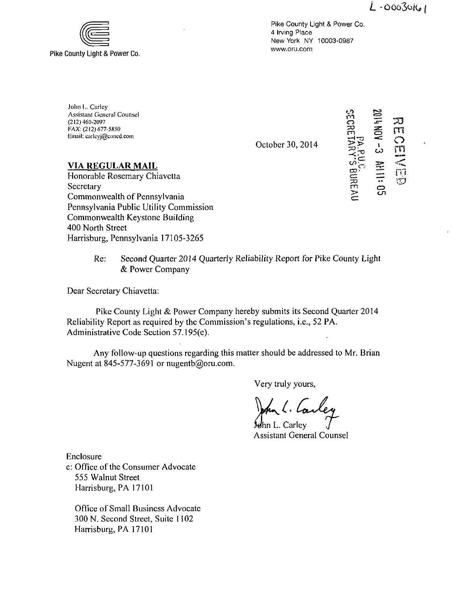$L - 00030161$ 



Pike County Light & Power Co. 4 Irving Place New York NY 10003-0987 www.oru.com

John I,. Carlcy Assistant General Counsel (212) 460-2097 FAX. (212)677-5850 Email: carlcyj@concd.com

October 30, 2014

ੇ<br>ਹੋ:  $\bm{\omega}$ sun  $\sum_{i=1}^{n}$  $\subset$ دے o  $\bar{\mathbf{c}}$ n TO  $\overline{\mathbf{m}}$  $\bigcirc$ rn rn

ra<br>B<br>D  $\mathord{\sqcup}$ 

# **VIA REGULAR MAIL**

Honorable Rosemary Chiavetta Secretary Commonwealth of Pennsylvania Pennsylvania Public Utility Commission Commonwealth Keystone Building 400 North Street Harrisburg, Pennsylvania 17105-3265

> Re: Second Quarter 2014 Quarterly Reliability Report for Pike County Light & Power Company

Dear Secretary Chiavetta:

Pike County Light & Power Company hereby submits its Second Quarter 2014 Reliability Report as required by the Commission's regulations, i.e., 52 PA. Administrative Code Section 57.195(e).

Any follow-up questions regarding this matter should be addressed to Mr. Brian Nugent at 845-577-3691 or nugentb@oru.com.

Very truly yours,

Jehn L. Carley 4 Assistant General Counsel

Enclosure

c: Office of the Consumer Advocate 555 Walnut Street Harrisburg, PA 17101

Office of Small Business Advocate 300 N. Second Street, Suite 1102 Harrisburg, PA 17101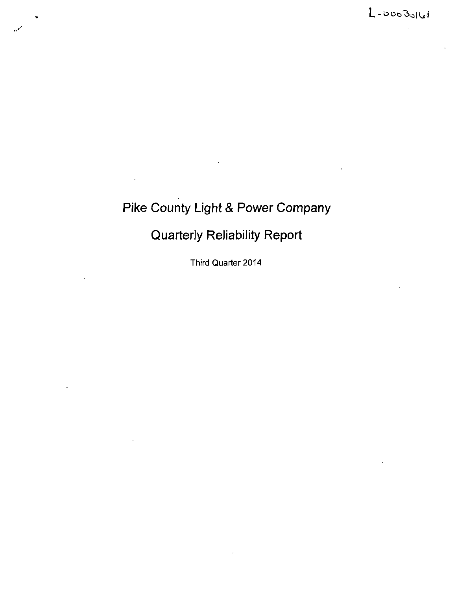# **Pike County Light & Power Company**

# **Quarterly Reliability Report**

Third Quarter 2014

 $\ddot{\phantom{a}}$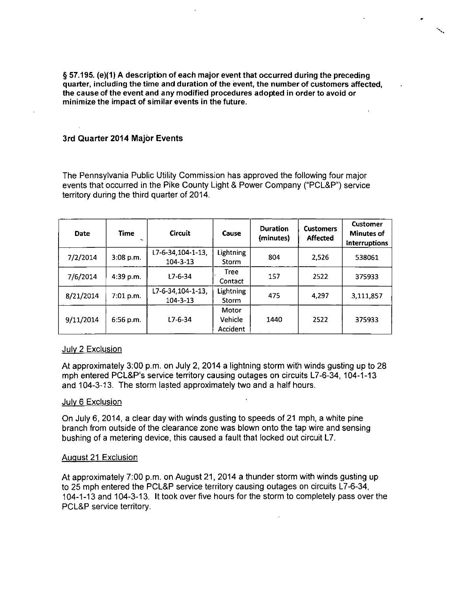§ 57.195. (e)(1) A description of each major event that occurred during the preceding quarter, including the time and duration of the event, the number of customers affected, the cause of the event and any modified procedures adopted in order to avoid or minimize the impact of similar events in the future.

### **3rd Quarter 2014 Major Events**

The Pennsylvania Public Utility Commission has approved the following four major events that occurred in the Pike County Light & Power Company ("PCL&P") service territory during the third quarter of 2014.

| Date      | <b>Time</b> | <b>Circuit</b>                       | Cause                               | <b>Duration</b><br>(minutes) | <b>Customers</b><br><b>Affected</b> | Customer<br><b>Minutes of</b><br><b>Interruptions</b> |
|-----------|-------------|--------------------------------------|-------------------------------------|------------------------------|-------------------------------------|-------------------------------------------------------|
| 7/2/2014  | 3:08 p.m.   | L7-6-34,104-1-13,<br>$104 - 3 - 13$  | <b>Lightning</b><br>Storm           | 804                          | 2,526                               | 538061                                                |
| 7/6/2014  | 4:39 p.m.   | 17-6-34                              | <b>Tree</b><br>Contact              | 157                          | 2522                                | 375933                                                |
| 8/21/2014 | 7:01 p.m.   | L7-6-34, 104-1-13,<br>$104 - 3 - 13$ | <b>Lightning</b><br>Storm           | 475                          | 4,297                               | 3,111,857                                             |
| 9/11/2014 | $6:56$ p.m. | $L7 - 6 - 34$                        | Motor<br><b>Vehicle</b><br>Accident | 1440                         | 2522                                | 375933                                                |

#### July 2 Exclusion

At approximately 3:00 p.m. on July 2, 2014 a lightning storm with winds gusting up to 28 mph entered PCL&P's service territory causing outages on circuits L7-6-34, 104-1-13 and 104-3-13. The storm lasted approximately two and a half hours.

#### July 6 Exclusion

On July 6, 2014, a clear day with winds gusting to speeds of 21 mph, a white pine branch from outside of the clearance zone was blown onto the tap wire and sensing bushing of a metering device, this caused a fault that locked out circuit L7.

#### August 21 Exclusion

At approximately 7:00 p.m. on August 21, 2014 a thunder storm with winds gusting up to 25 mph entered the PCL&P service territory causing outages on circuits L7-6-34, 104-1-13 and 104-3-13. It took over five hours for the storm to completely pass over the PCL&P service territory.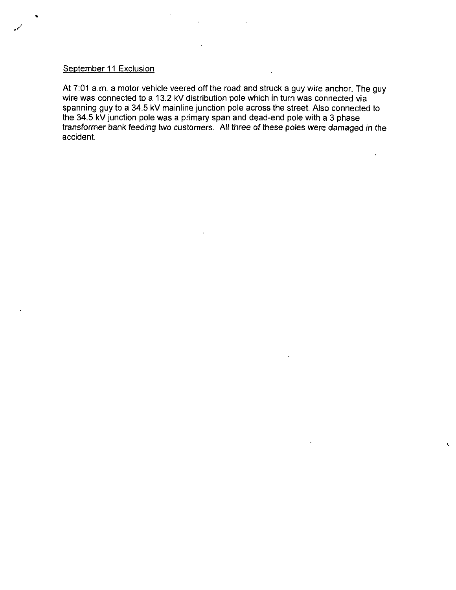# September 11 Exclusion

 $\cdot$ 

At 7:01 a.m. a motor vehicle veered off the road and struck a guy wire anchor. The guy wire was connected to a 13.2 kV distribution pole which in turn was connected via spanning guy to a 34.5 kV mainline junction pole across the street. Also connected to the 34.5 kV junction pole was a primary span and dead-end pole with a 3 phase transformer bank feeding two customers. All three of these poles were damaged in the accident.

 $\sqrt{2}$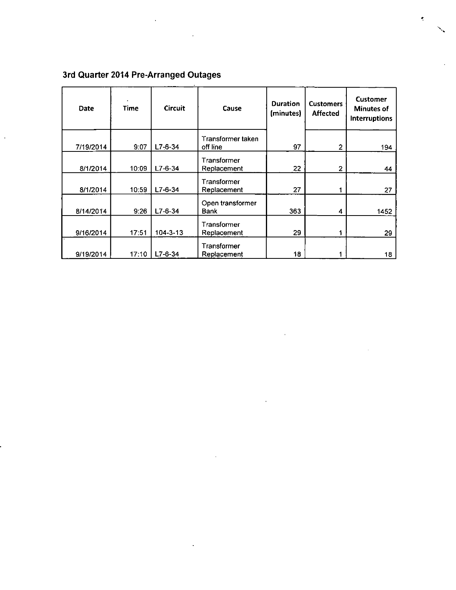| Date      | Time  | <b>Circuit</b> | Cause                           | <b>Duration</b><br>(minutes) | <b>Customers</b><br><b>Affected</b> | <b>Customer</b><br><b>Minutes of</b><br><b>Interruptions</b> |
|-----------|-------|----------------|---------------------------------|------------------------------|-------------------------------------|--------------------------------------------------------------|
| 7/19/2014 | 9:07  | $L7-6-34$      | Transformer taken<br>off line   | 97                           | $\overline{2}$                      | 194                                                          |
| 8/1/2014  | 10:09 | $L7-6-34$      | Transformer<br>Replacement      | 22                           | $\overline{2}$                      | 44                                                           |
| 8/1/2014  | 10:59 | $L7 - 6 - 34$  | Transformer<br>Replacement      | 27                           | 1                                   | 27                                                           |
| 8/14/2014 | 9:26  | $L7-6-34$      | Open transformer<br><b>Bank</b> | 363                          | 4                                   | 1452                                                         |
| 9/16/2014 | 17:51 | 104-3-13       | Transformer<br>Replacement      | 29                           | 1                                   | 29                                                           |
| 9/19/2014 | 17:10 | $L7 - 6 - 34$  | Transformer<br>Replacement      | 18                           |                                     | 18                                                           |

# **3rd Quarter 2014 Pre-Arranged Outages**

 $\ddot{\phantom{1}}$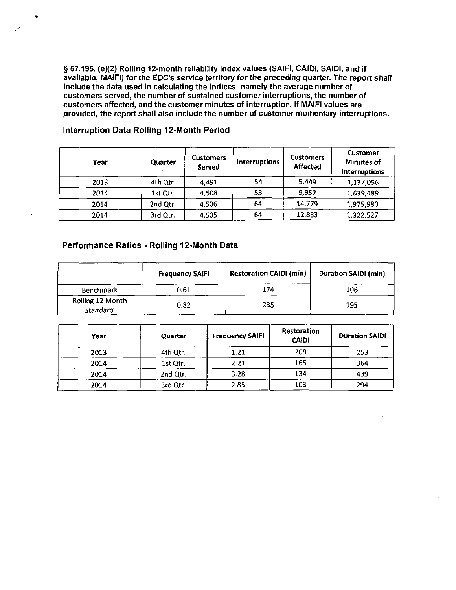**§ 57.195. (e)(2) Rolling 12-month reliability index values (SAIFI, CAIDI, SAIDI, and if**  available, MAIFI) for the EDC's service territory for the preceding quarter. The report shall **include the data used in calculating the indices, namely the average number of customers served, the number of sustained customer interruptions, the number of customers affected, and the customer minutes of interruption. If MAIFI values are provided, the report shall also include the number of customer momentary interruptions.** 

| Year | Quarter  | <b>Customers</b><br>Served | <b>Interruptions</b> | <b>Customers</b><br><b>Affected</b> | Customer<br><b>Minutes of</b><br><b>Interruptions</b> |
|------|----------|----------------------------|----------------------|-------------------------------------|-------------------------------------------------------|
| 2013 | 4th Qtr. | 4,491                      | 54                   | 5,449                               | 1,137,056                                             |
| 2014 | 1st Qtr. | 4.508                      | 53                   | 9,952                               | 1,639,489                                             |
| 2014 | 2nd Qtr. | 4,506                      | 64                   | 14,779                              | 1,975,980                                             |
| 2014 | 3rd Qtr. | 4.505                      | 64                   | 12,833                              | 1,322,527                                             |

#### **Interruption Data Rolling 12-Month Period**

### **Performance Ratios - Rolling 12-Month Data**

|                              | <b>Frequency SAIFI</b> | <b>Restoration CAIDI (min)</b> | <b>Duration SAIDI (min)</b> |
|------------------------------|------------------------|--------------------------------|-----------------------------|
| Benchmark                    | 0.61                   | 174                            | 106                         |
| Rolling 12 Month<br>Standard | 0.82                   | 235                            | 195                         |

| Year | Quarter  | <b>Frequency SAIFI</b> | Restoration<br><b>CAIDI</b> | <b>Duration SAIDI</b> |
|------|----------|------------------------|-----------------------------|-----------------------|
| 2013 | 4th Qtr. | 1.21                   | 209                         | 253                   |
| 2014 | 1st Qtr. | 2.21                   | 165                         | 364                   |
| 2014 | 2nd Qtr. | 3.28                   | 134                         | 439                   |
| 2014 | 3rd Qtr. | 2.85                   | 103                         | 294                   |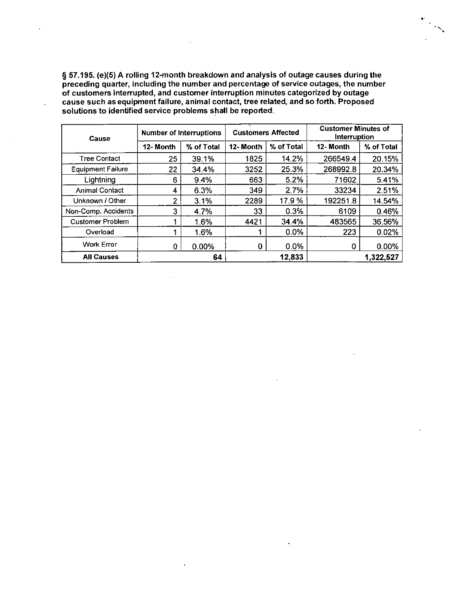**§ 57.195. (e)(5) A rolling 12-month breakdown and analysis of outage causes during the preceding quarter, including the number and percentage of service outages, the number of customers interrupted, and customer interruption minutes categorized by outage cause such as equipment failure, animal contact, tree related, and so forth. Proposed solutions to identified service problems shall be reported.** 

l,

| Cause                    | <b>Number of Interruptions</b> |            | <b>Customers Affected</b> |            | <b>Customer Minutes of</b><br>Interruption |            |
|--------------------------|--------------------------------|------------|---------------------------|------------|--------------------------------------------|------------|
|                          | 12-Month                       | % of Total | 12-Month                  | % of Total | 12-Month                                   | % of Total |
| <b>Tree Contact</b>      | 25                             | 39.1%      | 1825                      | 14.2%      | 266549.4                                   | 20.15%     |
| <b>Equipment Failure</b> | 22                             | 34.4%      | 3252                      | 25.3%      | 268992.8                                   | 20.34%     |
| Lightning                | 6                              | 9.4%       | 663                       | 5.2%       | 71602                                      | 5.41%      |
| <b>Animal Contact</b>    | 4                              | 6.3%       | 349                       | 2.7%       | 33234                                      | 2.51%      |
| Unknown / Other          | 2                              | 3.1%       | 2289                      | 17.9%      | 192251.8                                   | 14.54%     |
| Non-Comp. Accidents      | 3                              | 4.7%       | 33                        | 0.3%       | 6109                                       | 0.46%      |
| <b>Customer Problem</b>  |                                | 1.6%       | 4421                      | 34.4%      | 483565                                     | 36.56%     |
| Overload                 |                                | 1.6%       |                           | 0.0%       | 223                                        | 0.02%      |
| <b>Work Error</b>        | 0                              | $0.00\%$   | 0                         | 0.0%       | 0                                          | 0.00%      |
| <b>All Causes</b>        |                                | 64         |                           | 12,833     |                                            | 1,322,527  |